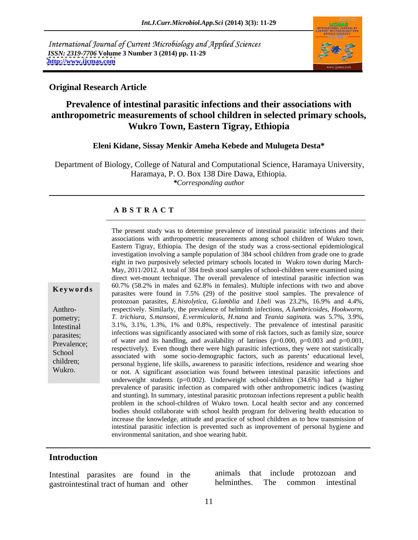International Journal of Current Microbiology and Applied Sciences *ISSN: 2319-7706* **Volume 3 Number 3 (2014) pp. 11-29 <http://www.ijcmas.com>**



### **Original Research Article**

# **Prevalence of intestinal parasitic infections and their associations with anthropometric measurements of school children in selected primary schools, Wukro Town, Eastern Tigray, Ethiopia**

### **Eleni Kidane, Sissay Menkir Ameha Kebede and Mulugeta Desta\***

Department of Biology, College of Natural and Computational Science, Haramaya University, Haramaya, P. O. Box 138 Dire Dawa, Ethiopia.

*\*Corresponding author*

# **A B S T R A C T**

**Keywords** both the contract of the positive stool samples. The prevalence of parasites were found in 7.5% (29) of the positive stool samples. The prevalence of Anthro- respectively. Similarly, the prevalence of helminth infections, *A.lumbricoides, Hookworm,* pometry; *T. trichiura, S.mansoni, E.vermicularis, H.nana* and *Teania saginat*a. was 5.7%, 3.9%, Intestinal 3.1%, 3.1%, 1.3%, 1% and 0.8%, respectively. The prevalence of intestinal parasitic parasites; infections was significantly associated with some of risk factors, such as family size, source Prevalence; by water and its nanomig, and availability of faulilies  $(p=0.000, p=0.003)$  and  $p=0.001$ , respectively). Even though there were high parasitic infections, they were not statistically School associated with some socio-demographic factors, such as parents' educational level, children;<br>
personal hygiene, life skills, awareness to parasitic infections, residence and wearing shoe Wukro. or not. A significant association was found between intestinal parasitic infections and associations with anthropometric measurements among school children of Wukro town, Eastern Tigray, Ethiopia. The design of the study was a cross-sectional epidemiological investigation involving a sample population of 384 school children from grade one to grade eight in two purposively selected primary schools located in Wukro town during March- May, 2011/2012. A total of 384 fresh stool samples of school-children were examined using direct wet-mount technique. The overall prevalence of intestinal parasitic infection was 60.7% (58.2% in males and 62.8% in females). Multiple infections with two and above protozoan parasites, *E.histolytica, G.lamblia* and *I.beli* was 23.2%, 16.9% and 4.4%, of water and its handling, and availability of latrines  $(p=0.000, p=0.003$  and  $p=0.001$ , underweight students ( $p=0.002$ ). Underweight school-children (34.6%) had a higher prevalence of parasitic infection as compared with other anthropometric indices (wasting and stunting). In summary, intestinal parasitic protozoan infections represent a public health problem in the school-children of Wukro town. Local health sector and any concerned bodies should collaborate with school health program for delivering health education to increase the knowledge, attitude and practice of school children as to how transmission of intestinal parasitic infection is prevented such as improvement of personal hygiene and environmental sanitation, and shoe wearing habit.

The present study was to determine prevalence of intestinal parasitic infections and their

### **Introduction**

gastrointestinal tract of human and other

Intestinal parasites are found in the animals that include protozoan and parasites are found in the animals that include protozoan and parasitesimal reaction and other helminthes. The common intestinal animals that include protozoan and helminthes. The common intestinal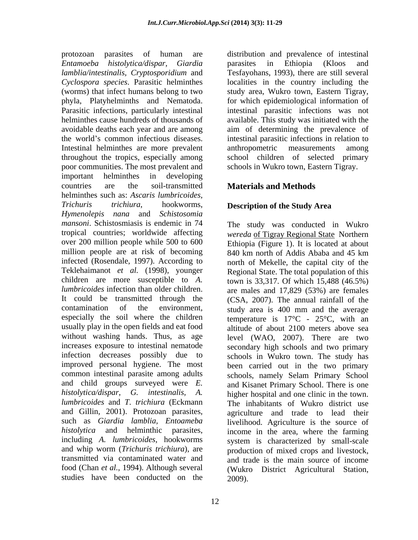*Entamoeba histolytica/dispar, Giardia lamblia/intestinalis, Cryptosporidium* and *Cyclospora species*. Parasitic helminthes localities in the country including the (worms) that infect humans belong to two study area, Wukro town, Eastern Tigray, phyla, Platyhelminths and Nematoda. for which epidemiological information of Parasitic infections, particularly intestinal intestinal parasitic infections was not helminthes cause hundreds of thousands of available. This study was initiated with the avoidable deaths each year and are among aim of determining the prevalence of the world's common infectious diseases. intestinal parasitic infections in relation to Intestinal helminthes are more prevalent throughout the tropics, especially among poor communities. The most prevalent and important helminthes in developing countries are the soil-transmitted **Materials and Methods** helminthes such as: *Ascaris lumbricoides, Trichuris trichiura*, hookworms, **Description of the Study Area** *Hymenolepis nana* and *Schistosomia mansoni*. Schistosmiasis is endemic in 74 tropical countries; worldwide affecting *wereda* of Tigray Regional State Northern over 200 million people while 500 to 600 Ethiopia (Figure 1). It is located at about million people are at risk of becoming 840 km north of Addis Ababa and 45 km infected (Rosendale, 1997). According to north of Mekelle, the capital city of the Teklehaimanot *et al.* (1998), younger Regional State. The total population of this children are more susceptible to *A*. town is 33,317. Of which  $15,488$  (46.5%) *lumbricoides* infection than older children. are males and 17,829 (53%) are females It could be transmitted through the (CSA, 2007). The annual rainfall of the contamination of the environment, study area is 400 mm and the average especially the soil where the children usually play in the open fields and eat food altitude of about 2100 meters above sea without washing hands. Thus, as age level (WAO, 2007). There are two increases exposure to intestinal nematode secondary high schools and two primary infection decreases possibly due to schools in Wukro town. The study has improved personal hygiene. The most common intestinal parasite among adults schools, namely Selam Primary School and child groups surveyed were *E.*  and Kisanet Primary School. There is one *histolytica/dispar*, *G. intestinalis, A.* higher hospital and one clinic in the town. *lumbricoides* and *T*. *trichiura* (Eckmann The inhabitants of Wukro district use and Gillin, 2001). Protozoan parasites, agriculture and trade to lead their such as *Giardia lamblia, Entoameba* livelihood. Agriculture is the source of *histolytica* and helminthic parasites, income in the area, where the farming including *A. lumbricoides*, hookworms and whip worm (*Trichuris trichiura*), are production of mixed crops and livestock, transmitted via contaminated water and and trade is the main source of income food (Chan *et al.*, 1994). Although several (Wukro District Agricultural Station, studies have been conducted on the

protozoan parasites of human are distribution and prevalence of intestinal parasites in Ethiopia (Kloos and Tesfayohans, 1993), there are still several anthropometric measurements among school children of selected primary schools in Wukro town, Eastern Tigray.

The study was conducted in Wukro 840 km north of Addis Ababa and 45 km temperature is  $17^{\circ}$ C -  $25^{\circ}$ C, with an been carried out in the two primary system is characterized by small-scale 2009).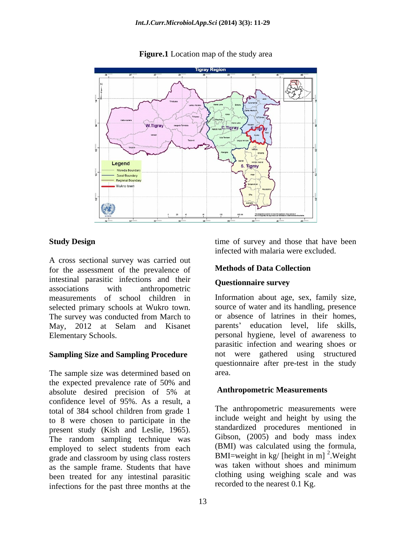

**Figure.1** Location map of the study area

A cross sectional survey was carried out<br>for the assessment of the prevalence of **Methods of Data Collection** for the assessment of the prevalence of intestinal parasitic infections and their associations with anthropometric measurements of school children in selected primary schools at Wukro town. Source of water and its handling, presence<br>The survey was conducted from March to or absence of latrines in their homes. The survey was conducted from March to May, 2012 at Selam and Kisanet parents' education level, life skills,

### **Sampling Size and Sampling Procedure**

The sample size was determined based on area. the expected prevalence rate of 50% and absolute desired precision of 5% at **Anthropometric Measurements** confidence level of 95%. As a result, a total of 384 school children from grade 1 to 8 were chosen to participate in the present study (Kish and Leslie, 1965). Standardized procedures mentioned in<br>The random sampling technique was Gibson, (2005) and body mass index employed to select students from each grade and classroom by using class rosters as the sample frame. Students that have been treated for any intestinal parasitic infections for the past three months at the

**Study Design** time of survey and those that have been infected with malaria were excluded.

# **Methods of Data Collection**

### **Questionnaire survey**

Elementary Schools. personal hygiene, level of awareness to Information about age, sex, family size, source of water and its handling, presence or absence of latrines in their homes,<br>parents' education level, life skills, parasitic infection and wearing shoes or not were gathered using structured questionnaire after pre-test in the study area.

### **Anthropometric Measurements**

The anthropometric measurements were include weight and height by using the standardized procedures mentioned in Gibson, (2005) and body mass index (BMI) was calculated using the formula, BMI=weight in kg/ [height in m]  $^{2}$ . Weight .Weight was taken without shoes and minimum clothing using weighing scale and was recorded to the nearest 0.1 Kg.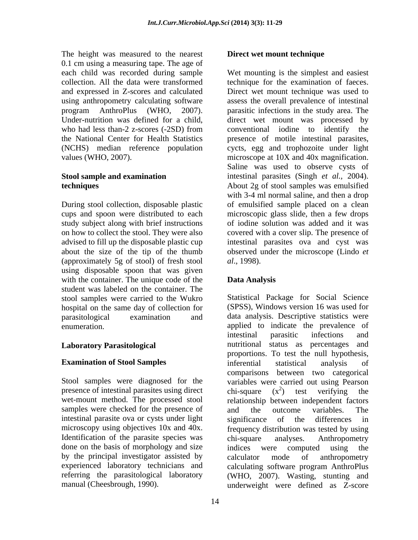The height was measured to the nearest 0.1 cm using a measuring tape. The age of

(approximately 5g of stool) of fresh stool al., 1998). using disposable spoon that was given with the container. The unique code of the **Data Analysis** student was labeled on the container. The stool samples were carried to the Wukro hospital on the same day of collection for

presence of intestinal parasites using direct chi-square  $(x^2)$  test verifying the wet-mount method. The processed stool samples were checked for the presence of and the outcome variables. The intestinal parasite ova or cysts under light significance of the differences in Identification of the parasite species was chi-square analyses. Anthropometry done on the basis of morphology and size indices were computed using the by the principal investigator assisted by calculator mode of anthropometry

### **Direct wet mount technique**

each child was recorded during sample Wet mounting is the simplest and easiest collection. All the data were transformed technique for the examination of faeces. and expressed in Z-scores and calculated Direct wet mount technique was used to using anthropometry calculating software assess the overall prevalence of intestinal program AnthroPlus (WHO, 2007). parasitic infections in the study area. The Under-nutrition was defined for a child, direct wet mount was processed by who had less than-2 z-scores (-2SD) from conventional iodine to identify the the National Center for Health Statistics presence of motile intestinal parasites, (NCHS) median reference population cycts, egg and trophozoite under light values (WHO, 2007). microscope at 10X and 40x magnification. **Stool sample and examination**  intestinal parasites (Singh *et al.,* 2004). **techniques**  About 2g of stool samples was emulsified During stool collection, disposable plastic of emulsified sample placed on a clean cups and spoon were distributed to each microscopic glass slide, then a few drops study subject along with brief instructions of iodine solution was added and it was on how to collect the stool. They were also covered with a cover slip. The presence of advised to fill up the disposable plastic cup intestinal parasites ova and cyst was about the size of the tip of the thumb observed under the microscope (Lindo *et* conventional iodine to identify the Saline was used to observe cysts of with 3-4 ml normal saline, and then a drop *al*., 1998).

# **Data Analysis**

parasitological examination and data analysis. Descriptive statistics were enumeration. applied to indicate the prevalence of **Laboratory Parasitological**  nutritional status as percentages and **Examination of Stool Samples Examination of Stool Samples Examination of Stool Samples Examples Examples Examples Examples Examples Examples Examples Examples Examples Examples Examples Example** Stool samples were diagnosed for the variables were carried out using Pearson microscopy using objectives 10x and 40x. frequency distribution was tested by using experienced laboratory technicians and calculating software program AnthroPlus referring the parasitological laboratory (WHO, 2007). Wasting, stunting and manual (Cheesbrough, 1990). underweight were defined as Z-score Statistical Package for Social Science (SPSS), Windows version 16 was used for intestinal parasitic infections and proportions. To test the null hypothesis, inferential statistical analysis of comparisons between two categorical chi-square  $(x^2)$  test verifying the  $2$  toot vorifying the ) test verifying the relationship between independent factors and the outcome variables. The significance of the differences in chi-square analyses. Anthropometry indices were computed using the calculator mode of anthropometry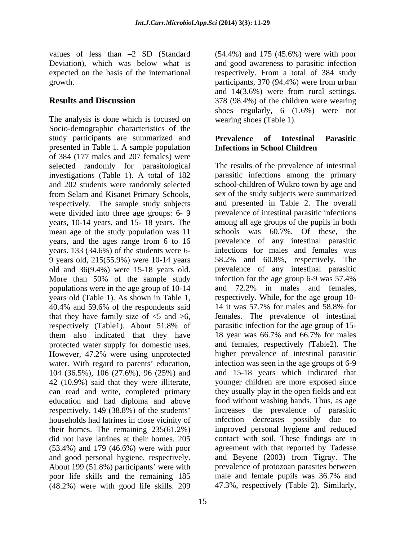values of less than  $-2$  SD (Standard  $(54.4\%)$  and 175 (45.6%) were with poor Deviation), which was below what is and good awareness to parasitic infection expected on the basis of the international

The analysis is done which is focused on Socio-demographic characteristics of the study participants are summarized and **Prevalence of Intestinal Parasitic** presented in Table 1. A sample population of 384 (177 males and 207 females) were selected randomly for parasitological investigations (Table 1). A total of 182 were divided into three age groups: 6- 9 years, 10-14 years, and 15- 18 years. The mean age of the study population was 11 years, and the ages range from 6 to 16 years. 133 (34.6%) of the students were 6- 9 years old, 215(55.9%) were 10-14 years old and 36(9.4%) were 15-18 years old. More than 50% of the sample study infection for the age group 6-9 was 57.4% nonvelocitions were in the age group of 10-14 and 72.2% in males and females, populations were in the age group of 10-14 40.4% and 59.6% of the respondents said 14 it was 57.7% for males and 58.8% for that they have family size of  $\leq$  5 and  $\geq$  6, respectively (Table1). About 51.8% of parasitic infection for the age group of 15-<br>them also indicated that they have 18 year was 66.7% and 66.7% for males them also indicated that they have protected water supply for domestic uses. However, 47.2% were using unprotected water. With regard to parents' education, 104 (36.5%), 106 (27.6%), 96 (25%) and can read and write, completed primary education and had diploma and above respectively. 149 (38.8%) of the students did not have latrines at their homes. 205 (53.4%) and 179 (46.6%) were with poor and good personal hygiene, respectively. About 199 (51.8%) participants' were with (48.2%) were with good life skills. 209

growth. participants, 370 (94.4%) were from urban **Results and Discussion** 378 (98.4%) of the children were wearing respectively. From a total of 384 study and 14(3.6%) were from rural settings. shoes regularly, 6 (1.6%) were not wearing shoes (Table 1).

## **Prevalence of Intestinal Parasitic Infections in School Children**

and 202 students were randomly selected school-children of Wukro town by age and from Selam and Kisanet Primary Schools, sex of the study subjects were summarized respectively. The sample study subjects and presented in Table 2. The overall years old (Table 1). As shown in Table 1, respectively. While, for the age group 10- 42 (10.9%) said that they were illiterate, younger children are more exposed since households had latrines in close vicinity of infection decreases possibly due to their homes. The remaining 235(61.2%) improved personal hygiene and reduced poor life skills and the remaining 185 male and female pupils was 36.7% and The results of the prevalence of intestinal parasitic infections among the primary sex of the study subjects were summarized and presented in Table 2. The overall prevalence of intestinal parasitic infections among all age groups of the pupils in both schools was 60.7%. Of these, the prevalence of any intestinal parasitic infections for males and females was 58.2% and 60.8%, respectively. The prevalence of any intestinal parasitic infection for the age group 6-9 was 57.4% and 72.2% in males and females, 14 it was 57.7% for males and 58.8% for females. The prevalence of intestinal parasitic infection for the age group of 15- 18 year was 66.7% and 66.7% for males and females, respectively (Table2). The higher prevalence of intestinal parasitic infection was seen in the age groups of 6-9 and 15-18 years which indicated that they usually play in the open fields and eat food without washing hands. Thus, as age increases the prevalence of parasitic contact with soil. These findings are in agreement with that reported by Tadesse and Beyene (2003) from Tigray. The prevalence of protozoan parasites between 47.3%, respectively (Table 2). Similarly,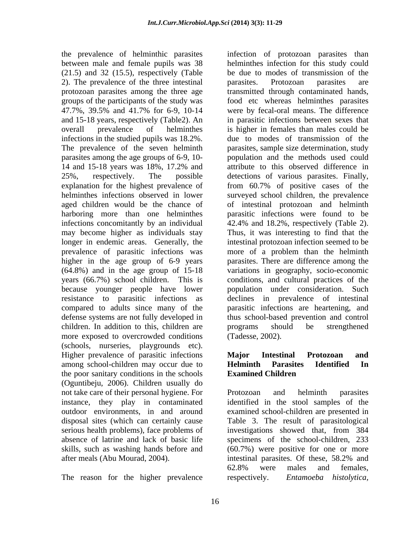between male and female pupils was 38  $(21.5)$  and  $32$   $(15.5)$ , respectively (Table 2). The prevalence of the three intestinal infections in the studied pupils was 18.2%. parasites among the age groups of 6-9, 10 explanation for the highest prevalence of from 60.7% of positive cases of the infections concomitantly by an individual 42.4% and 18.2%, respectively (Table 2). may become higher as individuals stay Thus, it was interesting to find that the higher in the age group of 6-9 years years (66.7%) school children. This is children. In addition to this, children are programs should be strengthened more exposed to overcrowded conditions (schools, nurseries, playgrounds etc). Higher prevalence of parasitic infections Major Intestinal Protozoan and among school-children may occur due to **Helminth Parasites Identified In** the poor sanitary conditions in the schools **Examined Children** (Oguntibeju, 2006). Children usually do not take care of their personal hygiene. For Protozoan and helminth parasites instance, they play in contaminated identified in the stool samples of the outdoor environments, in and around examined school-children are presented in disposal sites (which can certainly cause Table 3. The result of parasitological serious health problems), face problems of investigations showed that, from 384 absence of latrine and lack of basic life specimens of the school-children, 233 skills, such as washing hands before and (60.7%) were positive for one or more after meals (Abu Mourad, 2004).

The reason for the higher prevalence respectively. *Entamoeba histolytica*,

the prevalence of helminthic parasites infection of protozoan parasites than protozoan parasites among the three age transmitted through contaminated hands, groups of the participants of the study was food etc whereas helminthes parasites 47.7%, 39.5% and 41.7% for 6-9, 10-14 and 15-18 years, respectively (Table2). An in parasitic infections between sexes that overall prevalence of helminthes is higher in females than males could be The prevalence of the seven helminth parasites, sample size determination, study 14 and 15-18 years was 18%, 17.2% and 25%, respectively. The possible detections of various parasites. Finally, helminthes infections observed in lower surveyed school children, the prevalence aged children would be the chance of of intestinal protozoan and helminth harboring more than one helminthes parasitic infections were found to be longer in endemic areas. Generally, the intestinal protozoan infection seemed to be prevalence of parasitic infections was more of a problem than the helminth (64.8%) and in the age group of 15-18 variations in geography, socio-economic because younger people have lower population under consideration. Such resistance to parasitic infections as declines in prevalence of intestinal compared to adults since many of the parasitic infections are heartening, and defense systems are not fully developed in thus school-based prevention and control helminthes infection for this study could be due to modes of transmission of the parasites. Protozoan parasites are were by fecal-oral means. The difference due to modes of transmission of the population and the methods used could attribute to this observed difference in from 60.7% of positive cases of the 42.4% and 18.2%, respectively (Table 2). Thus, it was interesting to find that the parasites. There are difference among the conditions, and cultural practices of the programs should be strengthened (Tadesse, 2002).

### **Major Intestinal Protozoan and Helminth Parasites Identified In Examined Children**

Protozoan and helminth parasites intestinal parasites. Of these, 58.2% and 62.8% were males and females, respectively. *Entamoeba histolytica,*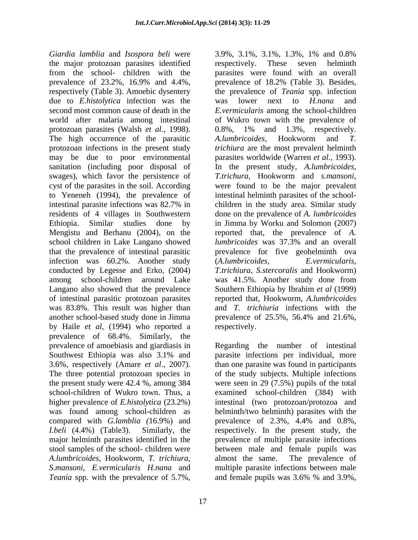*Giardia lamblia* and *Isospora beli* were the major protozoan parasites identified from the school- children with the parasites were found with an overall prevalence of 23.2%, 16.9% and 4.4%, prevalence of 18.2% (Table 3). Besides, respectively (Table 3). Amoebic dysentery due to *E.histolytica* infection was the was lower next to *H.nana* and second most common cause of death in the *E.vermicularis* among the school-children world after malaria among intestinal of Wukro town with the prevalence of protozoan parasites (Walsh *et al.*, 1998). 0.8%, 1% and 1.3%, respectively.<br>The high occurrence of the parasitic A.lumbricoides, Hookworm and T. protozoan infections in the present study may be due to poor environmental parasites worldwide (Warren *et al*., 1993). sanitation (including poor disposal of In the present study, *A.lumbricoides,* swages), which favor the persistence of *T.trichura,* Hookworm and *s.mansoni,* cyst of the parasites in the soil. According were found to be the major prevalent to Yeneneh (1994), the prevalence of intestinal helminth parasites of the school intestinal parasite infections was 82.7% in residents of 4 villages in Southwestern Ethiopia. Similar studies done by in Jimma by Worku and Solomon (2007) Mengistu and Berhanu (2004), on the reported that, the prevalence of *A.*  school children in Lake Langano showed *lumbricoides* was 37.3% and an overall that the prevalence of intestinal parasitic prevalence for five geohelminth ova infection was 60.2%. Another study (A.lumbricoides, E.vermicularis, conducted by Legesse and Erko, (2004) *T.trichiura, S.stercoralis* and Hookworm) among school-children around Lake Langano also showed that the prevalence Southern Ethiopia by Ibrahim *et al* (1999) of intestinal parasitic protozoan parasites was 83.8%. This result was higher than and *T. trichiuria* infections with the another school-based study done in Jimma prevalence of 25.5%, 56.4% and 21.6%, by Haile *et al,* (1994) who reported a prevalence of 68.4%. Similarly, the prevalence of amoebiasis and giardiasis in Regarding the number of intestinal Southwest Ethiopia was also 3.1% and parasite infections per individual, more 3.6%, respectively (Amare *et al*., 2007). than one parasite was found in participants The three potential protozoan species in of the study subjects. Multiple infections the present study were 42.4 %, among 384 were seen in 29 (7.5%) pupils of the total school-children of Wukro town. Thus, a examined school-children (384) with higher prevalence of *E.histolytica* (23.2%) intestinal (two protozoan/protozoa and was found among school-children as helminth/two helminth) parasites with the compared with *G.lamblia* (16.9%) and prevalence of 2.3%, 4.4% and 0.8%, *I.beli* (4.4%) (Table3). Similarly, the respectively. In the present study, the major helminth parasites identified in the prevalence of multiple parasite infections stool samples of the school- children were between male and female pupils was *A.lumbricoides,* Hookworm, *T. trichiura, S.mansoni, E.vermicularis H.nana* and multiple parasite infections between male *Teania* spp. with the prevalence of 5.7%, and female pupils was 3.6% % and 3.9%,

3.9%, 3.1%, 3.1%, 1.3%, 1% and 0.8% respectively. These seven helminth prevalence of 18.2% (Table 3). Besides, the prevalence of *Teania* spp. infection was lower next to *H.nana* and 0.8%, 1% and 1.3%, respectively. *A.lumbricoides,* Hookworm and *T. trichiura* are the most prevalent helminth children in the study area. Similar study done on the prevalence of *A. lumbricoides lumbricoides* was 37.3% and an overall (*A.lumbricoides, E.vermicularis,* was 41.5%. Another study done from reported that, Hookworm, *A.lumbricoides* respectively.

parasite infections per individual, more prevalence of 2.3%, 4.4% and 0.8%, almost the same. The prevalence of and female pupils was 3.6% % and 3.9%,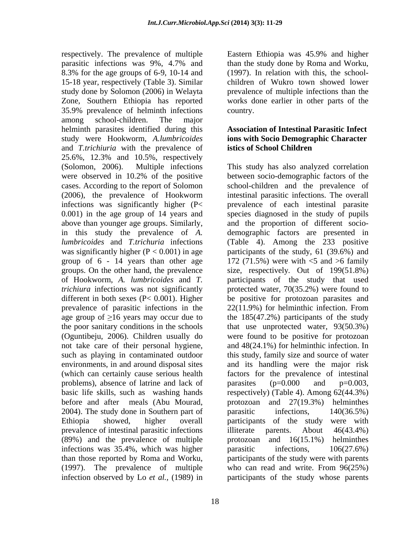respectively. The prevalence of multiple Eastern Ethiopia was 45.9% and higher parasitic infections was 9%, 4.7% and 8.3% for the age groups of 6-9, 10-14 and 15-18 year, respectively (Table 3). Similar children of Wukro town showed lower study done by Solomon (2006) in Welayta prevalence of multiple infections than the Zone, Southern Ethiopia has reported 35.9% prevalence of helminth infections among school-children. The major helminth parasites identified during this study were Hookworm, *A.lumbricoides*  and *T.trichiuria* with the prevalence of 25.6%, 12.3% and 10.5%, respectively were observed in 10.2% of the positive group of 6 - 14 years than other age prevalence of parasitic infections in the  $22(11.9\%)$  for helminthic infection. From (Oguntibeju, 2006). Children usually do problems), absence of latrine and lack of parasites  $(p=0.000$  and  $p=0.003$ , 2004). The study done in Southern part of parasitic infections, 140(36.5%) prevalence of intestinal parasitic infections illiterate parents. About 46(43.4%) (89%) and the prevalence of multiple infections was 35.4%, which was higher parasitic infections,  $106(27.6%)$ 

Eastern Ethiopia was 45.9% and higher than the study done by Roma and Worku, (1997). In relation with this, the school works done earlier in other parts of the country.

### **Association of Intestinal Parasitic Infect ions with Socio Demographic Character istics of School Children**

(Solomon, 2006). Multiple infections This study has also analyzed correlation cases. According to the report of Solomon school-children and the prevalence of (2006), the prevalence of Hookworm intestinal parasitic infections. The overall infections was significantly higher (P< prevalence of each intestinal parasite 0.001) in the age group of 14 years and species diagnosed in the study of pupils above than younger age groups. Similarly, and the proportion of different socio in this study the prevalence of *A.*  demographic factors are presented in *lumbricoides* and *T.trichuria* infections (Table 4). Among the 233 positive was significantly higher (P < 0.001) in age participants of the study, 61 (39.6%) and groups. On the other hand, the prevalence size, respectively*.* Out of 199(51.8%) of Hookworm, *A. lumbricoides* and *T.*  participants of the study that used *trichiura* infections was not significantly protected water, 70(35.2%) were found to different in both sexes (P< 0.001). Higher be positive for protozoan parasites and age group of  $\geq 16$  years may occur due to the 185(47.2%) participants of the study the poor sanitary conditions in the schools that use unprotected water, 93(50.3%) not take care of their personal hygiene, and 48(24.1%) for helminthic infection. In such as playing in contaminated outdoor this study, family size and source of water environments, in and around disposal sites and its handling were the major risk (which can certainly cause serious health factors for the prevalence of intestinal basic life skills, such as washing hands respectively) (Table 4). Among 62(44.3%) before and after meals (Abu Mourad, protozoan and 27(19.3%) helminthes Ethiopia showed, higher overall participants of the study were with than those reported by Roma and Worku, participants of the study were with parents (1997). The prevalence of multiple who can read and write. From 96(25%) infection observed by Lo *et al.,* (1989) in participants of the study whose parentsbetween socio-demographic factors of the 172 (71.5%) were with <5 and >6 family 22(11.9%) for helminthic infection. From were found to be positive for protozoan parasites  $(p=0.000$  and  $p=0.003$ , parasitic infections, 140(36.5%) illiterate parents. About 46(43.4%) and  $16(15.1\%)$  helminthes parasitic infections, 106(27.6%)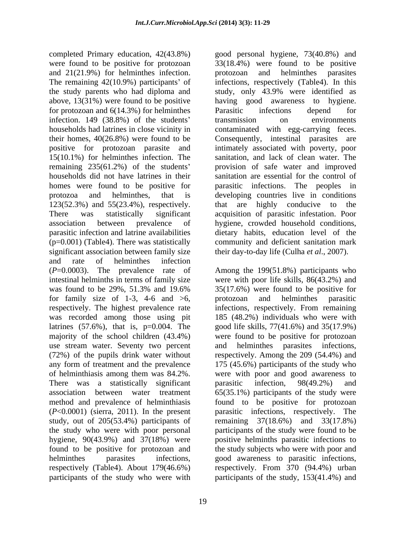completed Primary education, 42(43.8%) good personal hygiene, 73(40.8%) and were found to be positive for protozoan 33(18.4%) were found to be positive and 21(21.9%) for helminthes infection. by protozoan and helminthes parasites The remaining 42(10.9%) participants' of infections, respectively (Table4). In this the study parents who had diploma and study, only 43.9% were identified as above, 13(31%) were found to be positive having good awareness to hygiene. for protozoan and 6(14.3%) for helminthes infection. 149 (38.8%) of the students' transmission on environments households had latrines in close vicinity in contaminated with egg-carrying feces. households had latrines in close vicinity in contaminated with egg-carrying feces. their homes, 40(26.8%) were found to be Consequently, intestinal parasites are positive for protozoan parasite and 15(10.1%) for helminthes infection. The sanitation, and lack of clean water. The remaining 235(61.2%) of the students provision of safe water and improved households did not have latrines in their sanitation are essential for the control of homes were found to be positive for parasitic infections. The peoples in protozoa and helminthes, that is developing countries live in conditions 123(52.3%) and 55(23.4%), respectively. There was statistically significant acquisition of parasitic infestation. Poor association between prevalence of hygiene, crowded household conditions, parasitic infection and latrine availabilities dietary habits, education level of the (p=0.001) (Table4). There was statistically community and deficient sanitation mark significant association between family size and rate of helminthes infection (*P*=0.0003). The prevalence rate of Among the 199(51.8%) participants who intestinal helminths in terms of family size were with poor life skills, 86(43.2%) and was found to be  $29\%$ , 51.3% and 19.6% 35(17.6%) were found to be positive for for family size of 1-3, 4-6 and  $>6$ , protozoan and helminthes parasitic respectively. The highest prevalence rate infections, respectively. From remaining was recorded among those using pit latrines (57.6%), that is, p=0.004. The good life skills, 77(41.6%) and 35(17.9%) majority of the school children (43.4%) were found to be positive for protozoan use stream water. Seventy two percent and helminthes parasites infections, (72%) of the pupils drink water without respectively. Among the 209 (54.4%) and any form of treatment and the prevalence 175 (45.6%) participants of the study who of helminthiasis among them was 84.2%. were with poor and good awareness to There was a statistically significant parasitic infection, 98(49.2%) and association between water treatment 65(35.1%) participants of the study were method and prevalence of helminthiasis found to be positive for protozoan (*P*<0.0001) (sierra, 2011). In the present parasitic infections, respectively. The study, out of 205(53.4%) participants of remaining 37(18.6%) and 33(17.8%) the study who were with poor personal participants of the study were found to be hygiene, 90(43.9%) and 37(18%) were positive helminths parasitic infections to found to be positive for protozoan and the study subjects who were with poor and helminthes parasites infections, good awareness to parasitic infections, respectively (Table4). About 179(46.6%) respectively. From 370 (94.4%) urban

protozoan and helminthes parasites study, only 43.9% were identified as having good awareness Parasitic infections depend for transmission on environments intimately associated with poverty, poor that are highly conducive their day-to-day life (Culha *et al*., 2007).

participants of the study who were with participants of the study, 153(41.4%) and35(17.6%) were found to be positive for protozoan and helminthes parasitic infections, respectively. From remaining 185 (48.2%) individuals who were with and helminthes parasites infections, parasitic infection, 98(49.2%) and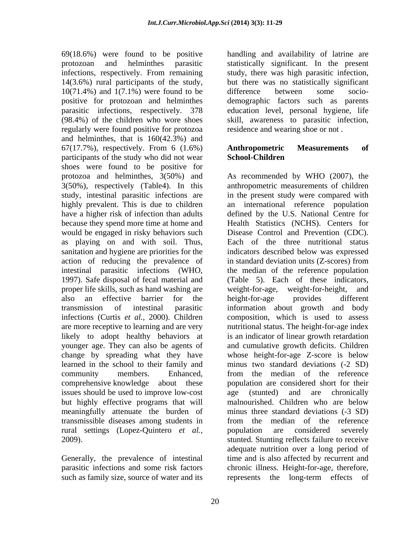69(18.6%) were found to be positive handling and availability of latrine are protozoan and helminthes parasitic statistically significant. In the present infections, respectively. From remaining study, there was high parasitic infection,  $14(3.6%)$  rural participants of the study, but there was no statistically significant  $10(71.4%)$  and  $1(7.1%)$  were found to be difference between some sociopositive for protozoan and helminthes demographic factors such as parents parasitic infections, respectively. 378 education level, personal hygiene, life (98.4%) of the children who wore shoes skill, awareness to parasitic infection, regularly were found positive for protozoa and helminthes, that is 160(42.3%) and 67(17.7%), respectively. From 6 (1.6%) participants of the study who did not wear **School-Children** shoes were found to be positive for because they spend more time at home and would be engaged in risky behaviors such as playing on and with soil. Thus, action of reducing the prevalence of instandard deviation units (Z-scores) from 1997). Safe disposal of fecal material and proper life skills, such as hand washing are weight-for-age, weight-for-height, and infections (Curtis *et al.,* 2000). Children likely to adopt healthy behaviors at younger age. They can also be agents of issues should be used to improve low-cost age (stunted) and are chronically but highly effective programs that will malnourished. Children who are below meaningfully attenuate the burden of rural settings (Lopez-Quintero *et al.,*

such as family size, source of water and its represents the long-term effects of

but there was no statistically significant difference between some socio residence and wearing shoe or not .

### **Anthropometric Measurements of School-Children**

protozoa and helminthes, 3(50%) and As recommended by WHO (2007), the 3(50%), respectively (Table4). In this anthropometric measurements of children study, intestinal parasitic infections are in the present study were compared with highly prevalent. This is due to children an international reference population have a higher risk of infection than adults defined by the U.S. National Centre for sanitation and hygiene are priorities for the indicators described below was expressed intestinal parasitic infections (WHO, the median of the reference population also an effective barrier for the height-for-age provides different transmission of intestinal parasitic information about growth and body are more receptive to learning and are very nutritional status. The height-for-age index change by spreading what they have whose height-for-age Z-score is below learned in the school to their family and minus two standard deviations (-2 SD) community members. Enhanced, from the median of the reference comprehensive knowledge about these population are considered short for their transmissible diseases among students in from the median of the reference 2009). stunted. Stunting reflects failure to receive Generally, the prevalence of intestinal time and is also affected by recurrent and parasitic infections and some risk factors chronic illness. Height-for-age, therefore, Health Statistics (NCHS). Centers for Disease Control and Prevention (CDC). Each of the three nutritional status in standard deviation units (Z-scores) from (Table 5). Each of these indicators, weight-for-age, weight-for-height, and height-for-age provides different composition, which is used to assess is an indicator of linear growth retardation and cumulative growth deficits. Children age (stunted) and are chronically malnourished. Children who are below minus three standard deviations (-3 SD) population are considered severely adequate nutrition over a long period of represents the long-term effects of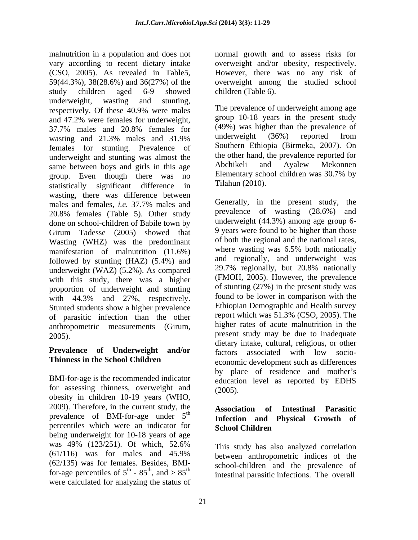malnutrition in a population and does not normal growth and to assess risks for vary according to recent dietary intake overweight and/or obesity, respectively. (CSO, 2005). As revealed in Table5, However, there was no any risk of  $59(44.3\%)$ ,  $38(28.6\%)$  and  $36(27\%)$  of the overweight among the studied school study children aged 6-9 showed underweight, wasting and stunting,<br>respectively. Of these 40.9% were males The prevalence of underweight among age and 47.2% were females for underweight, 37.7% males and 20.8% females for (49%) was higher than the prevalence of wasting and 21.3% males and 31.9% underweight (36%) reported from females for stunting. Prevalence of underweight and stunting was almost the the other hand, the prevalence reported for<br>same between boys and girls in this age. Abchikeli and Ayalew Mekonnen same between boys and girls in this age abchikeli and Ayalew Mekonnen<br>group Even though there was no Elementary school children was 30.7% by group. Even though there was no statistically significant difference in wasting, there was difference between males and females, *i.e.* 37.7% males and 20.8% females (Table 5). Other study done on school-children of Babile town by Girum Tadesse (2005) showed that Wasting (WHZ) was the predominant of both the regional and the national rates,<br>manifestation of malnutrition (11.6%) where wasting was 6.5% both nationally manifestation of malnutrition (11.6%) followed by stunting  $(HAZ)$  (5.4%) and and regionally, and underweight was<br>underweight  $(WAY)$  (5.2%) As compared 29.7% regionally, but 20.8% nationally underweight (WAZ) (5.2%). As compared with this study, there was a higher proportion of underweight and stunting with 44.3% and 27%, respectively. Stunted students show a higher prevalence of parasitic infection than the other anthropometric measurements (Girum,

BMI-for-age is the recommended indicator for assessing thinness, overweight and (2005). obesity in children 10-19 years (WHO, 2009). Therefore, in the current study, the prevalence of BMI-for-age under  $5<sup>th</sup>$ percentiles which were an indicator for **School Children** being underweight for 10-18 years of age was 49% (123/251). Of which, 52.6% This study has also analyzed correlation  $(61/116)$  was for males and 45.9% between anthropometric indices of the (62/135) was for females. Besides, BMIfor-age percentiles of  $5^{\text{th}}$  -  $85^{\text{th}}$ , and  $> 85^{\text{th}}$ were calculated for analyzing the status of

However, there was no any risk of overweight among the studied school children (Table 6).

The prevalence of underweight among age group 10-18 years in the present study (49%) was higher than the prevalence of underweight (36%) reported from Southern Ethiopia (Birmeka, 2007). On the other hand, the prevalence reported for Abchikeli and Ayalew Mekonnen Elementary school children was 30.7% by Tilahun (2010).

2005). present study may be due to inadequate **Prevalence of Underweight and/or** factors associated with low socio- **Thinness in the School Children** economic development such as differences Generally, in the present study, the prevalence of wasting (28.6%) and underweight (44.3%) among age group 6- 9 years were found to be higher than those of both the regional and the national rates, where wasting was 6.5% both nationally and regionally, and underweight was 29.7% regionally, but 20.8% nationally (FMOH, 2005). However, the prevalence of stunting (27%) in the present study was found to be lower in comparison with the Ethiopian Demographic and Health survey report which was 51.3% (CSO, 2005). The higher rates of acute malnutrition in the dietary intake, cultural, religious, or other by place of residence and mother's education level as reported by EDHS (2005).

### $t$   $\frac{1}{2}$   $\frac{1}{2}$   $\frac{1}{2}$   $\frac{1}{2}$   $\frac{1}{2}$   $\frac{1}{2}$   $\frac{1}{2}$   $\frac{1}{2}$   $\frac{1}{2}$   $\frac{1}{2}$   $\frac{1}{2}$   $\frac{1}{2}$   $\frac{1}{2}$   $\frac{1}{2}$   $\frac{1}{2}$   $\frac{1}{2}$   $\frac{1}{2}$   $\frac{1}{2}$   $\frac{1}{2}$   $\frac{1}{2}$   $\frac{1}{2}$   $\frac{1}{2$ **Association of Intestinal Parasitic Infection and Physical Growth of School Children**

th  $\alpha \xi$ th and  $\alpha \xi$ <sup>th</sup>  $-85<sup>th</sup>$ , and  $>85<sup>th</sup>$  intestinal parasitic infections. The overall th and  $\infty$  gether serious emission and the presented of th This study has also analyzed correlation between anthropometric indices of the school-children and the prevalence of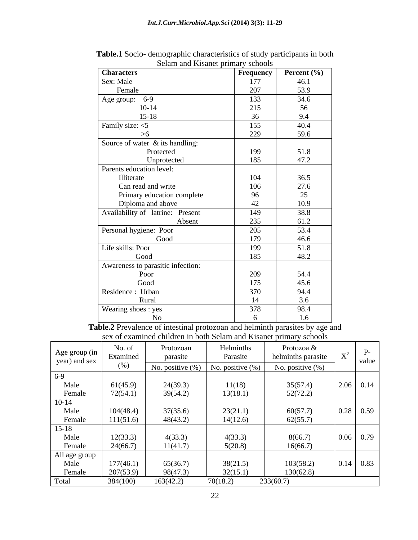| <b>Characters</b>                 | Frequency | <b>Percent</b> $(\% )$ |
|-----------------------------------|-----------|------------------------|
| Sex: Male                         | 177       | 46.1                   |
| Female                            | 207       | 53.9                   |
| Age group: 6-9                    | 133       | 34.6                   |
| $10-14$                           | 215       | 56                     |
| $15-18$                           | 36        | 9.4                    |
| Family size: <5                   | 155       | 40.4                   |
| >6                                | 229       | 59.6                   |
| Source of water & its handling:   |           |                        |
| Protected                         | 199       | 51.8                   |
| Unprotected                       | 185       | 47.2                   |
| Parents education level:          |           |                        |
| Illiterate                        | 104       | 36.5                   |
| Can read and write                | 106       | 27.6                   |
| Primary education complete        | 96        | 25                     |
| Diploma and above                 | 42        | 10.9                   |
| Availability of latrine: Present  | 149       | 38.8                   |
| Absent                            | 235       | 61.2                   |
| Personal hygiene: Poor            | 205       | 53.4                   |
| Good                              | 179       | 46.6                   |
| Life skills: Poor                 | 199       | 51.8                   |
| Good                              | 185       | 48.2                   |
| Awareness to parasitic infection: |           |                        |
| Poor                              | 209       | 54.4                   |
| Good                              | 175       | 45.6                   |
| Residence: Urban                  | 370       | 94.4                   |
| Rural                             | 14        | 3.6                    |
| Wearing shoes: yes                | 378       | 98.4                   |
| No                                |           | 1.6                    |

| Table.1<br>c characteristics of study parti<br>ticipants in both<br>o- demographic<br>Soc10<br>vucit |  |
|------------------------------------------------------------------------------------------------------|--|
| $\mathbf{r}$<br>elam and Kisanet primary<br>$\cdot$ school.                                          |  |

**Table.2** Prevalence of intestinal protozoan and helminth parasites by age and sex of examined children in both Selam and Kisanet primary schools

|                                |           |                     |                     | $\sim$             |                               |
|--------------------------------|-----------|---------------------|---------------------|--------------------|-------------------------------|
|                                | No. of    | Protozoan           | Helminths           | Protozoa &         |                               |
| Age group (in<br>year) and sex | Examined  | parasite            | Parasite            | helminths parasite |                               |
|                                | (%)       | No. positive $(\%)$ | No. positive $(\%)$ | No. positive (%)   | value                         |
| $6-9$                          |           |                     |                     |                    |                               |
|                                |           |                     |                     |                    |                               |
| Male                           | 61(45.9)  | 24(39.3)            | 11(18)              | 35(57.4)           | $\vert 2.06 \vert 0.14 \vert$ |
| Female                         | 72(54.1)  | 39(54.2)            | 13(18.1)            | 52(72.2)           |                               |
| $10 - 14$                      |           |                     |                     |                    |                               |
| Male                           | 104(48.4) | 37(35.6)            | 23(21.1)            | 60(57.7)           |                               |
| Female                         | 111(51.6) | 48(43.2)            | 14(12.6)            | 62(55.7)           |                               |
|                                |           |                     |                     |                    |                               |
| $15 - 18$                      |           |                     |                     |                    |                               |
| Male                           | 12(33.3)  | 4(33.3)             | 4(33.3)             | 8(66.7)            | $0.06 \, 0.79$                |
| Female                         | 24(66.7)  | 11(41.7             | 5(20.8)             | 16(66.7)           |                               |
| All age group                  |           |                     |                     |                    |                               |
| Male                           | 177(46.1) | 65(36.7             | 38(21.5)            | 103(58.2)          | $\vert 0.14 \vert 0.83 \vert$ |
| Female                         | 207(53.9) | 98(47.3             | 32(15.1)            | 130(62.8)          |                               |
|                                |           |                     |                     |                    |                               |
| Total                          | 384(100)  | 163(42.2)           | 70(18.2)            | 233(60.7)          |                               |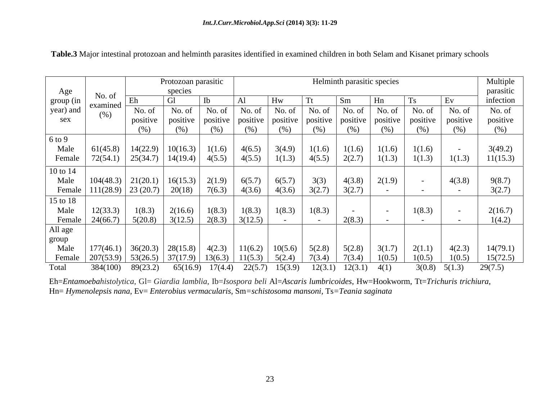|                        |          |                                                                                                                                               | Protozoan parasitic |                               |                               |                        |                |                     | Helminth parasitic species                                                            |         |          | Multiple  |
|------------------------|----------|-----------------------------------------------------------------------------------------------------------------------------------------------|---------------------|-------------------------------|-------------------------------|------------------------|----------------|---------------------|---------------------------------------------------------------------------------------|---------|----------|-----------|
| Age                    |          |                                                                                                                                               | species             |                               |                               |                        |                |                     |                                                                                       |         |          | parasitic |
|                        | No. of   |                                                                                                                                               |                     |                               |                               |                        |                |                     |                                                                                       |         |          | infection |
| group (in<br>year) and | (% )     | No. of                                                                                                                                        |                     | No. of $\vert$ No. of $\vert$ | $\vert$ No. of $\vert$ No. of |                        | No. of $\vert$ | No. of              | No. of                                                                                | No. of  | No. of   | No. of    |
| sex                    |          | positive                                                                                                                                      |                     |                               |                               |                        |                |                     | positive   positive   positive   positive   positive   positive   positive   positive |         | positive | positive  |
|                        |          |                                                                                                                                               | (% )                | (%)                           | (%)                           | (%)                    | (% )           | (% )                | $(\%)$                                                                                | $(\% )$ | (%)      | $(\%)$    |
| $6$ to $9$             |          |                                                                                                                                               |                     |                               |                               |                        |                |                     |                                                                                       |         |          |           |
| Male                   | 61(45.8) | $\mid$ 14(22.9) $\mid$ 10(16.3) $\mid$ 1(1.6) $\mid$                                                                                          |                     |                               | $4(6.5)$ 3(4.9)               |                        | 1(1.6)         | 1(1.6)              | 1(1.6)                                                                                | 1(1.6)  |          | 3(49.2)   |
| Female                 | 72(54.1) | $25(34.7)$   $14(19.4)$   $4(5.5)$                                                                                                            |                     |                               |                               | $\mid$ 4(5.5)   1(1.3) | 4(5.5)         | 2(2.7)              | 1(1.3)                                                                                | 1(1.3)  | 1(1.3)   | 11(15.3)  |
| 10 to 14               |          |                                                                                                                                               |                     |                               |                               |                        |                |                     |                                                                                       |         |          |           |
| Male                   |          | $104(48.3)$ $21(20.1)$ $16(15.3)$ $2(1.9)$                                                                                                    |                     |                               | 6(5.7)   6(5.7)               |                        | 3(3)           | 4(3.8)              | 2(1.9)                                                                                |         | 4(3.8)   | 9(8.7)    |
| Female                 |          | $111(28.9)$ 23 (20.7) 20(18) 7(6.3)                                                                                                           |                     |                               | $4(3.6)$ 4(3.6)               |                        | 3(2.7)         | 3(2.7)              |                                                                                       |         |          | 3(2.7)    |
| 15 to 18               |          |                                                                                                                                               |                     |                               |                               |                        |                |                     |                                                                                       |         |          |           |
| Male                   | 12(33.3) | 1(8.3)                                                                                                                                        |                     | $2(16.6)$ $1(8.3)$            |                               | $1(8.3)$   $1(8.3)$    | 1(8.3)         |                     |                                                                                       | 1(8.3)  |          | 2(16.7)   |
| Female                 | 24(66.7) | 5(20.8)                                                                                                                                       |                     | $3(12.5)$ $2(8.3)$            | 3(12.5)                       |                        |                | 2(8.3)              |                                                                                       |         |          | 1(4.2)    |
| All age                |          |                                                                                                                                               |                     |                               |                               |                        |                |                     |                                                                                       |         |          |           |
| group                  |          |                                                                                                                                               |                     |                               |                               |                        |                |                     |                                                                                       |         |          |           |
| Male                   |          | $\mid$ 177(46.1) $\mid$ 36(20.3) $\mid$ 28(15.8) $\mid$ 4(2.3) $\mid$ 11(6.2) $\mid$ 10(5.6) $\mid$ 5(2.8) $\mid$ 5(2.8) $\mid$ 3(1.7) $\mid$ |                     |                               |                               |                        |                |                     |                                                                                       | 2(1.1)  | 4(2.3)   | 14(79.1)  |
| Female                 |          | $\mid$ 207(53.9) $\mid$ 53(26.5) $\mid$ 37(17.9) $\mid$ 13(6.3) $\mid$ 11(5.3) $\mid$ 5(2.4)                                                  |                     |                               |                               |                        | 7(3.4)         | 7(3.4)              | 1(0.5)                                                                                | 1(0.5)  | 1(0.5)   | 15(72.5)  |
| Total                  | 384(100) | 89(23.2)                                                                                                                                      |                     | $65(16.9)$ $17(4.4)$          |                               | $22(5.7)$ 15(3.9)      |                | $12(3.1)$ $12(3.1)$ | 4(1)                                                                                  | 3(0.8)  | 5(1.3)   | 29(7.5)   |

**Table.3** Major intestinal protozoan and helminth parasites identified in examined children in both Selam and Kisanet primary schools

Eh=*Entamoebahistolytica,* Gl= *Giardia lamblia,* Ib=*Isospora beli* Al=*Ascaris lumbricoides*, Hw=Hookworm, Tt=*Trichuris trichiura,* Hn= *Hymenolepsis nana*, Ev= *Enterobius vermacularis,* Sm*=schistosoma mansoni,* Ts*=Teania saginata*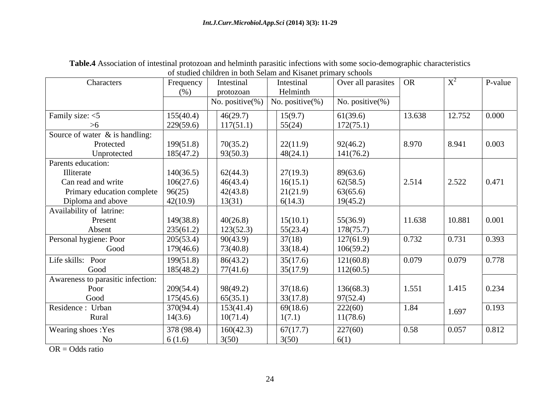|                                   |           |                     | of studied children in both Selam and Kisanet primary schools |                                               |        |                |                   |
|-----------------------------------|-----------|---------------------|---------------------------------------------------------------|-----------------------------------------------|--------|----------------|-------------------|
| Characters                        | Frequency | Intestinal          | Intestinal                                                    | $\sqrt{1 + 2}$ Over all parasites $\sqrt{OR}$ |        | $\mathbf{X}^2$ | $P-value$         |
|                                   | (% )      | protozoan           | Helminth                                                      |                                               |        |                |                   |
|                                   |           | No. positive $(\%)$ | No. positive $(\%)$                                           | No. positive(%)                               |        |                |                   |
| Family size: $<$ 5                | 155(40.4) | 46(29.7)            | 15(9.7)                                                       | 61(39.6)                                      | 13.638 | 12.752         | $\mid 0.000 \mid$ |
|                                   | 229(59.6) | 117(51.1)           | 55(24)                                                        | 172(75.1)                                     |        |                |                   |
| Source of water $\&$ is handling: |           |                     |                                                               |                                               |        |                |                   |
| Protected                         | 199(51.8) | 70(35.2)            | 22(11.9)                                                      | 92(46.2)                                      | 8.970  | 8.941          | 0.003             |
| Unprotected                       | 185(47.2) | 93(50.3)            | 48(24.1)                                                      | 141(76.2)                                     |        |                |                   |
| Parents education:                |           |                     |                                                               |                                               |        |                |                   |
| Illiterate                        | 140(36.5) | 62(44.3)            | 27(19.3)                                                      | 89(63.6)                                      |        |                |                   |
| Can read and write                | 106(27.6) | 46(43.4)            | 16(15.1)                                                      | 62(58.5)                                      | 2.514  | 2.522          | 0.471             |
| Primary education complete        | 96(25)    | 42(43.8)            | 21(21.9)                                                      | 63(65.6)                                      |        |                |                   |
| Diploma and above                 | 42(10.9)  | 13(31)              | 6(14.3)                                                       | 19(45.2)                                      |        |                |                   |
| Availability of latrine:          |           |                     |                                                               |                                               |        |                |                   |
| Present                           | 149(38.8) | 40(26.8)            | 15(10.1)                                                      | 55(36.9)                                      | 11.638 | 10.881         | 0.001             |
| Absent                            | 235(61.2) | 123(52.3)           | 55(23.4)                                                      | 178(75.7)                                     |        |                |                   |
| Personal hygiene: Poor            | 205(53.4) | 90(43.9)            | 37(18)                                                        | 127(61.9)                                     | 0.732  | 0.731          | 0.393             |
| Good                              | 179(46.6) | 73(40.8)            | 33(18.4)                                                      | 106(59.2)                                     |        |                |                   |
| Life skills: Poor                 | 199(51.8) | 86(43.2)            | 35(17.6)                                                      | 121(60.8)                                     | 0.079  | 0.079          | 0.778             |
| Good                              | 185(48.2) | 77(41.6)            | 35(17.9)                                                      | 112(60.5)                                     |        |                |                   |
| Awareness to parasitic infection: |           |                     |                                                               |                                               |        |                |                   |
| Poor                              | 209(54.4) | 98(49.2)            | 37(18.6)                                                      | 136(68.3)                                     | 1.551  | 1.415          | 0.234             |
| Good                              | 175(45.6) | 65(35.1)            | 33(17.8)                                                      | 97(52.4)                                      |        |                |                   |
| Residence: Urban                  | 370(94.4) | 153(41.4)           | 69(18.6)                                                      | 222(60)                                       | 1.84   | 1.697          | 0.193             |
| Rural                             | 14(3.6)   | 10(71.4)            | 1(7.1)                                                        | 11(78.6)                                      |        |                |                   |
| Wearing shoes : Yes               | 378(98.4) | 160(42.3)           | 67(17.7)                                                      | 227(60)                                       | 0.58   | 0.057          | 0.812             |
| No                                | 6(1.6)    | 3(50)               | 3(50)                                                         | 6(1)                                          |        |                |                   |

**Table.4** Association of intestinal protozoan and helminth parasitic infections with some socio-demographic characteristics

OR = Odds ratio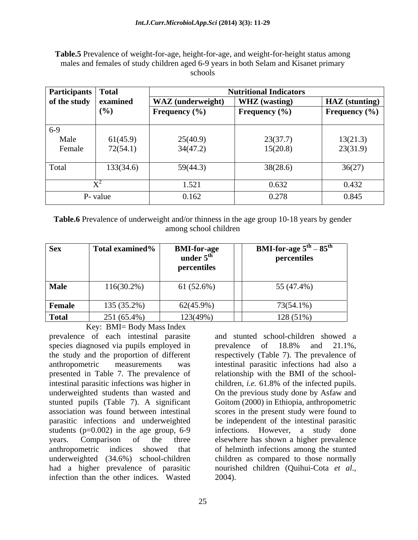**Table.5** Prevalence of weight-for-age, height-for-age, and weight-for-height status among males and females of study children aged 6-9 years in both Selam and Kisanet primary schools and the second second second second second second second second second second second second second second second second second second second second second second second second second second second second second sec

| Participants Total                    |           |                          | <b>Nutritional Indicators</b> |                         |  |  |
|---------------------------------------|-----------|--------------------------|-------------------------------|-------------------------|--|--|
| $\vert$ of the study $\vert$ examined |           | <b>WAZ</b> (underweight) | <b>WHZ</b> (wasting)          | HAZ (stunting)          |  |  |
|                                       | (%)       | <b>Frequency</b> $(\%)$  | <b>Frequency</b> (%)          | <b>Frequency</b> $(\%)$ |  |  |
| $6-9$                                 |           |                          |                               |                         |  |  |
| Male                                  | 61(45.9)  | 25(40.9)                 | 23(37.7)                      | 13(21.3)                |  |  |
| Female                                | 72(54.1)  | 34(47.2)                 | 15(20.8)                      | 23(31.9)                |  |  |
| Total                                 | 133(34.6) | 59(44.3)                 | 38(28.6)                      | 36(27)                  |  |  |
|                                       |           |                          |                               |                         |  |  |
|                                       |           | 1.521                    | 0.632                         | 0.432                   |  |  |
|                                       | P- value  | 0.162                    | 0.278                         | 0.845                   |  |  |

**Table.6** Prevalence of underweight and/or thinness in the age group 10-18 years by gender among school children

Key: BMI= Body Mass Index

prevalence of each intestinal parasite species diagnosed via pupils employed in prevalence of 18.8% and 21.1%, the study and the proportion of different respectively (Table 7). The prevalence of anthropometric measurements was intestinal parasitic infections had also a presented in Table 7. The prevalence of intestinal parasitic infections was higher in children, *i.e.* 61.8% of the infected pupils. underweighted students than wasted and On the previous study done by Asfaw and stunted pupils (Table 7). A significant Goitom (2000) in Ethiopia, anthropometric association was found between intestinal scores in the present study were found to parasitic infections and underweighted be independent of the intestinal parasitic students ( $p=0.002$ ) in the age group, 6-9 years. Comparison of the three elsewhere has shown a higher prevalence anthropometric indices showed that of helminth infections among the stunted underweighted (34.6%) school-children children as compared to those normally had a higher prevalence of parasitic nourished children (Quihui-Cota et al., infection than the other indices. Wasted 2004).

and stunted school-children showed a prevalence of 18.8% and 21.1%, relationship with the BMI of the school children, *i.e.* 61.8% of the infected pupils. infections. However, a study done nourished children (Quihui-Cota *et al*., 2004).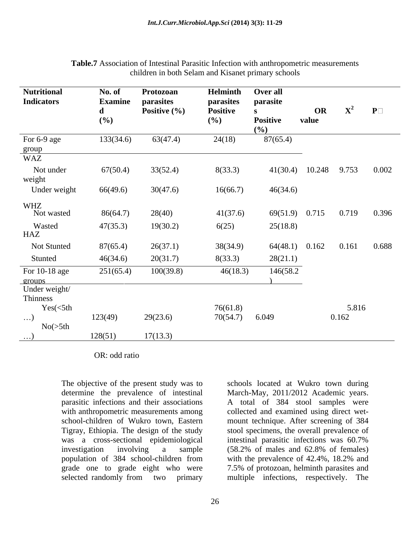| <b>Nutritional</b><br><b>Indicators</b> | No. of<br><b>Examine</b> | Protozoan<br>parasites | Helminth<br>parasites | Over all<br>parasite   |             |              |                |
|-----------------------------------------|--------------------------|------------------------|-----------------------|------------------------|-------------|--------------|----------------|
|                                         | $\mathbf{a}$<br>$(\%)$   | Positive $(\% )$       | Positive<br>(%)       | <b>Positive</b><br>(%) | OR<br>value |              | $X^2$ P $\Box$ |
| For 6-9 age<br>group                    | 133(34.6)                | 63(47.4)               | 24(18)                | 87(65.4)               |             |              |                |
| WAZ                                     |                          |                        |                       |                        |             |              |                |
| Not under<br>weight                     | 67(50.4)                 | 33(52.4)               | 8(33.3)               | 41(30.4)               |             | 10.248 9.753 | 0.002          |
| Under weight                            | 66(49.6)                 | 30(47.6)               | 16(66.7)              | 46(34.6)               |             |              |                |
| WHZ<br>Not wasted                       | 86(64.7)                 | 28(40)                 | 41(37.6)              | 69(51.9)               | 0.715       | 0.719        | 0.396          |
| Wasted<br>HAZ                           | 47(35.3)                 | 19(30.2)               | 6(25)                 | 25(18.8)               |             |              |                |
| Not Stunted                             | 87(65.4)                 | 26(37.1)               | 38(34.9)              | 64(48.1)               | 0.162       | 0.161        | 0.688          |
| Stunted                                 | 46(34.6)                 | 20(31.7)               | 8(33.3)               | 28(21.1)               |             |              |                |
| For $10-18$ age                         | 251(65.4)                | 100(39.8)              | 46(18.3)              | 146(58.2               |             |              |                |
| groups<br>Under weight/                 |                          |                        |                       |                        |             |              |                |
| Thinness<br>Yes(<5th                    |                          |                        | 76(61.8)              |                        |             | 5.816        |                |
| $\ldots$<br>No( > 5th                   | 123(49)                  | 29(23.6)               | 70(54.7) 6.049        |                        |             | 0.162        |                |
| $\ldots$ )                              | 128(51)                  | 17(13.3)               |                       |                        |             |              |                |

### **Table.7** Association of Intestinal Parasitic Infection with anthropometric measurements children in both Selam and Kisanet primary schools

OR: odd ratio

The objective of the present study was to schools located at Wukro town during was a cross-sectional epidemiological intestinal parasitic infections was 60.7% investigation involving a sample (58.2% of males and 62.8% of females) population of 384 school-children from with the prevalence of 42.4%, 18.2% and selected randomly from two primary multiple infections, respectively. The

determine the prevalence of intestinal March-May, 2011/2012 Academic years. parasitic infections and their associations A total of 384 stool samples were with anthropometric measurements among collected and examined using direct wetschool-children of Wukro town, Eastern mount technique. After screening of 384 Tigray, Ethiopia. The design of the study stool specimens, the overall prevalence of grade one to grade eight who were 7.5% of protozoan, helminth parasites and intestinal parasitic infections was 60.7% (58.2% of males and 62.8% of females) with the prevalence of 42.4%, 18.2% and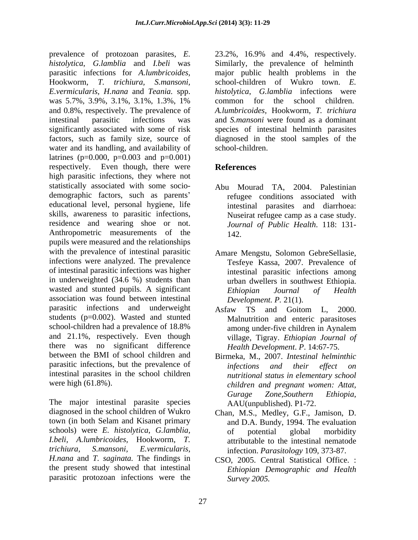prevalence of protozoan parasites, *E. histolytica*, *G.lamblia* and *I.beli* was Similarly, the prevalence of helminth parasitic infections for *A.lumbricoides,*  major public health problems in the Hookworm, *T. trichiura, S.mansoni,*  school-children of Wukro town. *E. E.vermicularis, H.nana* and *Teania.* spp. was 5.7%, 3.9%, 3.1%, 3.1%, 1.3%, 1% common for the school children. and 0.8%, respectively. The prevalence of intestinal parasitic infections was and *S.mansoni* were found as a dominant significantly associated with some of risk species of intestinal helminth parasites factors, such as family size, source of diagnosed in the stool samples of the water and its handling, and availability of school-children. latrines ( $p=0.000$ ,  $p=0.003$  and  $p=0.001$ ) respectively. Even though, there were **References** high parasitic infections, they where not statistically associated with some socio demographic factors, such as parents educational level, personal hygiene, life skills, awareness to parasitic infections, residence and wearing shoe or not. Anthropometric measurements of the 142 pupils were measured and the relationships with the prevalence of intestinal parasitic Amare Mengstu, Solomon GebreSellasie, infections were analyzed. The prevalence of intestinal parasitic infections was higher in underweighted (34.6 %) students than  $u$  urban dwellers in southwest Ethiopia. wasted and stunted pupils. A significant Ethiopian Journal of Health association was found between intestinal parasitic infections and underweight Asfaw TS and Goitom L, 2000. students (p=0.002). Wasted and stunted school-children had a prevalence of 18.8% among under-five children in Avnalem and 21.1%, respectively. Even though there was no significant difference between the BMI of school children and Birmeka, M., 2007. *Intestinal helminthic* parasitic infections, but the prevalence of *infections and their effect on* intestinal parasites in the school children

The major intestinal parasite species AAU(unpublished). P1-72. diagnosed in the school children of Wukro Chan, M.S., Medley, G.F., Jamison, D. town (in both Selam and Kisanet primary and D.A. Bundy, 1994. The evaluation schools) were *E. histolytica*, *G.lamblia, I.beli, A.lumbricoides,* Hookworm, *T. trichiura, S.mansoni, E.vermicularis,* infection. *Parasitology* 109, 373-87. *H.nana* and *T. saginata.* The findings in the present study showed that intestinal parasitic protozoan infections were the Survey 2005.

23.2%, 16.9% and 4.4%, respectively. *histolytica*, *G.lamblia* infections were common for the school children.*A.lumbricoides,* Hookworm, *T. trichiura*  school-children.

# **References**

- Abu Mourad TA, 2004. Palestinian refugee conditions associated with intestinal parasites and diarrhoea: Nuseirat refugee camp as a case study. *Journal of Public Health*. 118: 131- 142.
- Tesfeye Kassa, 2007. Prevalence of intestinal parasitic infections among urban dwellers in southwest Ethiopia. *Ethiopian Journal of Health Development. P.* 21(1).
- Asfaw TS and Goitom L, 2000. Malnutrition and enteric parasitoses among under-five children in Aynalem village, Tigray. *Ethiopian Journal of Health Development*. *P*. 14:67-75.
- were high (61.8%). *children and pregnant women: Attat, infections and their ef ect on nutritional status in elementary school Gurage Zone,Southern Ethiopia*, AAU(unpublished). P1-72.
	- of potential global morbidity attributable to the intestinal nematode
	- CSO, 2005. Central Statistical Office. : *Ethiopian Demographic and Health Survey 2005.*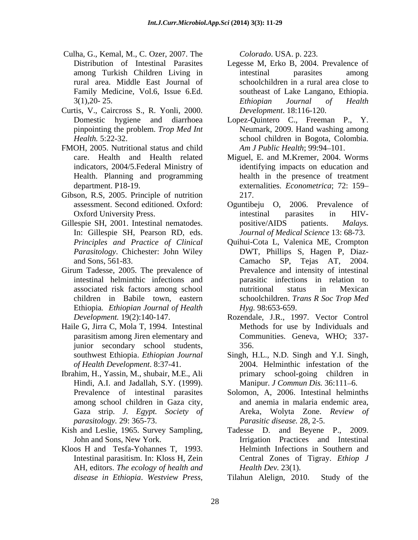- Culha, G., Kemal, M., C. Ozer, 2007. The
- Curtis, V., Caircross S., R. Yonli, 2000. pinpointing the problem. *Trop Med Int*
- FMOH, 2005. Nutritional status and child Health. Planning and programming
- Gibson, R.S. 2005. Principle of nutrition 217.
- Gillespie SH, 2001. Intestinal nematodes. bositive/AIDS patients. *Malays.* In: Gillespie SH, Pearson RD, eds.
- Girum Tadesse, 2005. The prevalence of Ethiopia*. Ethiopian Journal of Health*
- Haile G, Jirra C, Mola T, 1994. Intestinal junior secondary school students,
- Hindi, A.I. and Jadallah, S.Y. (1999). among school children in Gaza city, *parasitology.* 29: 365-73.
- 
- Kloos H and Tesfa-Yohannes T, 1993. AH, editors. *The ecology of health and*

- Distribution of Intestinal Parasites Legesse M, Erko B, 2004. Prevalence of among Turkish Children Living in rural area. Middle East Journal of schoolchildren in a rural area close to Family Medicine, Vol.6, Issue 6.Ed. Southeast of Lake Langano, Ethiopia.  $3(1),20$ - 25.  $5$  Ethiopian Journal of Health intestinal parasites among *Ethiopian Journal of Health Development*. 18:116-120.
- Domestic hygiene and diarrhoea Lopez-Quintero C., Freeman P., Y. *Health.* 5:22-32. school children in Bogota, Colombia. Neumark, 2009. Hand washing among *Am J Public Health*; 99:94–101.
- care. Health and Health related Miguel, E. and M.Kremer, 2004. Worms indicators, 2004/5.Federal Ministry of identifying impacts on education and department. P18-19. externalities. *Econometrica*; 72: 159 health in the presence of treatment 217.
- assessment. Second editioned. Oxford: Oguntibeju O, 2006. Prevalence of Oxford University Press. The intestinal parasites in HIVintestinal parasites in HIV positive/AIDS patients. *Malays. Journal of Medical Science* 13: 68-73.
- *Principles and Practice of Clinical* Quihui-Cota L, Valenica ME, Crompton *Parasitology*. Chichester: John Wiley DWT, Phillips S, Hagen P, Diaz and Sons, 561-83. Camacho SP, Tejas AT, 2004. intestinal helminthic infections and parasitic infections in relation to associated risk factors among school children in Babile town, eastern schoolchildren. *Trans R Soc Trop Med* **lla, C. Kenal, M. C. Ozer, 2005. The Colorado USA. 223. experimental parasites and parameters in<br>the press,**  $\mu$ *Ethiopia***. This is a most and parameters in the simulation in the simulation in the simulation in the simul** Prevalence and intensity of intestinal nutritional status in Mexican *Hyg.* 98:653-659.
- *Development.* 19(2):140-147. Rozendale, J.R., 1997. Vector Control parasitism among Jiren elementary and Communities. Geneva, WHO; 337- Methods for use by Individuals and 356.
- southwest Ethiopia. *Ethiopian Journal* Singh, H.L., N.D. Singh and Y.I. Singh, *of Health Development*. 8:37-41. 2004. Helminthic infestation of the Ibrahim, H., Yassin, M., shubair, M.E., Ali primary school-going children in Manipur. *J Commun Dis.* 36:111-6.
	- Prevalence of intestinal parasites Solomon, A, 2006. Intestinal helminths Gaza strip. *J. Egypt. Society of* Areka, Wolyta Zone. *Review of* and anemia in malaria endemic area, *Parasitic disease.* 28, 2-5.
- Kish and Leslie, 1965. Survey Sampling, Tadesse D. and Beyene P., 2009. John and Sons, New York. Irrigation Practices and Intestinal Intestinal parasitism. In: Kloss H, Zein Central Zones of Tigray. *Ethiop J* Helminth Infections in Southern and *Health Dev.* 23(1).

Tilahun Alelign, 2010. Study of the